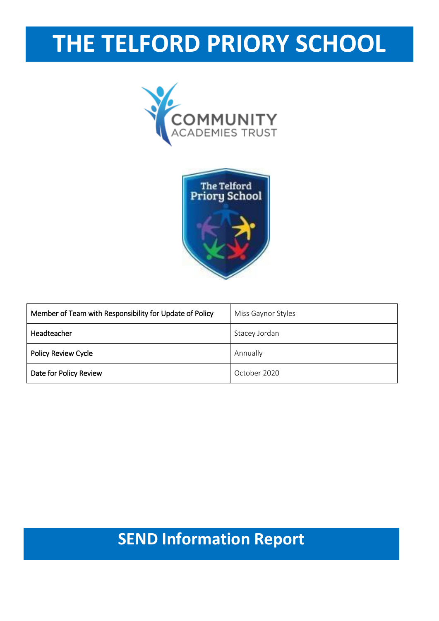# **THE TELFORD PRIORY SCHOOL**





| Member of Team with Responsibility for Update of Policy | Miss Gaynor Styles |
|---------------------------------------------------------|--------------------|
| Headteacher                                             | Stacey Jordan      |
| Policy Review Cycle                                     | Annually           |
| Date for Policy Review                                  | October 2020       |

# **Name of the school: Telformation Report**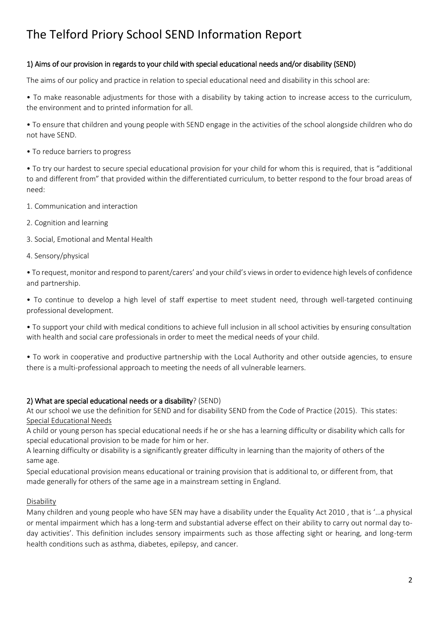#### 1) Aims of our provision in regards to your child with special educational needs and/or disability (SEND)

The aims of our policy and practice in relation to special educational need and disability in this school are:

• To make reasonable adjustments for those with a disability by taking action to increase access to the curriculum, the environment and to printed information for all.

• To ensure that children and young people with SEND engage in the activities of the school alongside children who do not have SEND.

• To reduce barriers to progress

• To try our hardest to secure special educational provision for your child for whom this is required, that is "additional to and different from" that provided within the differentiated curriculum, to better respond to the four broad areas of need:

- 1. Communication and interaction
- 2. Cognition and learning
- 3. Social, Emotional and Mental Health
- 4. Sensory/physical

• To request, monitor and respond to parent/carers' and your child's views in order to evidence high levels of confidence and partnership.

• To continue to develop a high level of staff expertise to meet student need, through well-targeted continuing professional development.

• To support your child with medical conditions to achieve full inclusion in all school activities by ensuring consultation with health and social care professionals in order to meet the medical needs of your child.

• To work in cooperative and productive partnership with the Local Authority and other outside agencies, to ensure there is a multi-professional approach to meeting the needs of all vulnerable learners.

#### 2) What are special educational needs or a disability? (SEND)

At our school we use the definition for SEND and for disability SEND from the Code of Practice (2015). This states: Special Educational Needs

A child or young person has special educational needs if he or she has a learning difficulty or disability which calls for special educational provision to be made for him or her.

A learning difficulty or disability is a significantly greater difficulty in learning than the majority of others of the same age.

Special educational provision means educational or training provision that is additional to, or different from, that made generally for others of the same age in a mainstream setting in England.

#### Disability

Many children and young people who have SEN may have a disability under the Equality Act 2010 , that is '…a physical or mental impairment which has a long-term and substantial adverse effect on their ability to carry out normal day today activities'. This definition includes sensory impairments such as those affecting sight or hearing, and long-term health conditions such as asthma, diabetes, epilepsy, and cancer.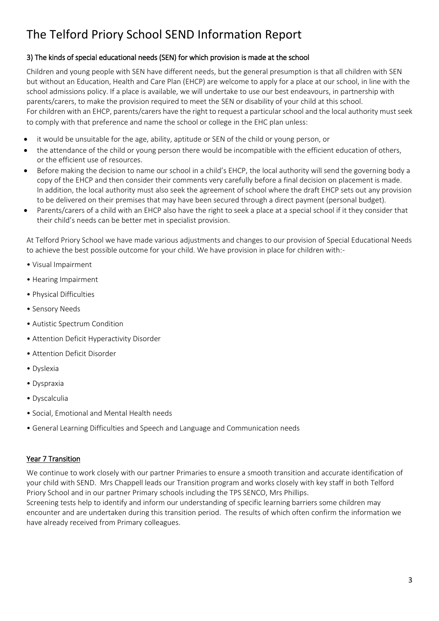#### 3) The kinds of special educational needs (SEN) for which provision is made at the school

Children and young people with SEN have different needs, but the general presumption is that all children with SEN but without an Education, Health and Care Plan (EHCP) are welcome to apply for a place at our school, in line with the school admissions policy. If a place is available, we will undertake to use our best endeavours, in partnership with parents/carers, to make the provision required to meet the SEN or disability of your child at this school. For children with an EHCP, parents/carers have the right to request a particular school and the local authority must seek to comply with that preference and name the school or college in the EHC plan unless:

- it would be unsuitable for the age, ability, aptitude or SEN of the child or young person, or
- the attendance of the child or young person there would be incompatible with the efficient education of others, or the efficient use of resources.
- Before making the decision to name our school in a child's EHCP, the local authority will send the governing body a copy of the EHCP and then consider their comments very carefully before a final decision on placement is made. In addition, the local authority must also seek the agreement of school where the draft EHCP sets out any provision to be delivered on their premises that may have been secured through a direct payment (personal budget).
- Parents/carers of a child with an EHCP also have the right to seek a place at a special school if it they consider that their child's needs can be better met in specialist provision.

At Telford Priory School we have made various adjustments and changes to our provision of Special Educational Needs to achieve the best possible outcome for your child. We have provision in place for children with:-

- Visual Impairment
- Hearing Impairment
- Physical Difficulties
- Sensory Needs
- Autistic Spectrum Condition
- Attention Deficit Hyperactivity Disorder
- Attention Deficit Disorder
- Dyslexia
- Dyspraxia
- Dyscalculia
- Social, Emotional and Mental Health needs
- General Learning Difficulties and Speech and Language and Communication needs

#### Year 7 Transition

We continue to work closely with our partner Primaries to ensure a smooth transition and accurate identification of your child with SEND. Mrs Chappell leads our Transition program and works closely with key staff in both Telford Priory School and in our partner Primary schools including the TPS SENCO, Mrs Phillips.

Screening tests help to identify and inform our understanding of specific learning barriers some children may encounter and are undertaken during this transition period. The results of which often confirm the information we have already received from Primary colleagues.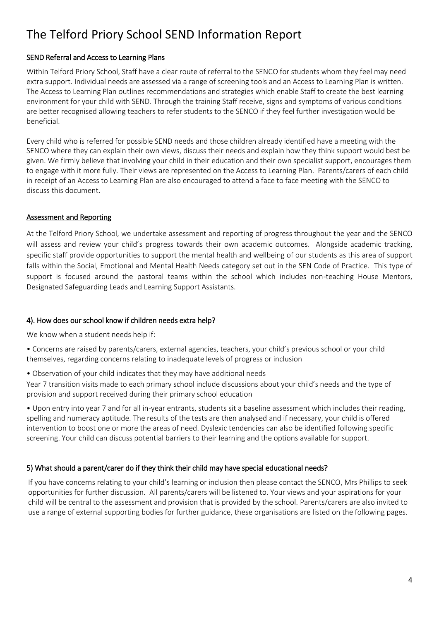#### SEND Referral and Access to Learning Plans

Within Telford Priory School, Staff have a clear route of referral to the SENCO for students whom they feel may need extra support. Individual needs are assessed via a range of screening tools and an Access to Learning Plan is written. The Access to Learning Plan outlines recommendations and strategies which enable Staff to create the best learning environment for your child with SEND. Through the training Staff receive, signs and symptoms of various conditions are better recognised allowing teachers to refer students to the SENCO if they feel further investigation would be beneficial.

Every child who is referred for possible SEND needs and those children already identified have a meeting with the SENCO where they can explain their own views, discuss their needs and explain how they think support would best be given. We firmly believe that involving your child in their education and their own specialist support, encourages them to engage with it more fully. Their views are represented on the Access to Learning Plan. Parents/carers of each child in receipt of an Access to Learning Plan are also encouraged to attend a face to face meeting with the SENCO to discuss this document.

#### Assessment and Reporting

At the Telford Priory School, we undertake assessment and reporting of progress throughout the year and the SENCO will assess and review your child's progress towards their own academic outcomes. Alongside academic tracking, specific staff provide opportunities to support the mental health and wellbeing of our students as this area of support falls within the Social, Emotional and Mental Health Needs category set out in the SEN Code of Practice. This type of support is focused around the pastoral teams within the school which includes non-teaching House Mentors, Designated Safeguarding Leads and Learning Support Assistants.

#### 4). How does our school know if children needs extra help?

We know when a student needs help if:

• Concerns are raised by parents/carers, external agencies, teachers, your child's previous school or your child themselves, regarding concerns relating to inadequate levels of progress or inclusion

• Observation of your child indicates that they may have additional needs

Year 7 transition visits made to each primary school include discussions about your child's needs and the type of provision and support received during their primary school education

• Upon entry into year 7 and for all in-year entrants, students sit a baseline assessment which includes their reading, spelling and numeracy aptitude. The results of the tests are then analysed and if necessary, your child is offered intervention to boost one or more the areas of need. Dyslexic tendencies can also be identified following specific screening. Your child can discuss potential barriers to their learning and the options available for support.

#### 5) What should a parent/carer do if they think their child may have special educational needs?

If you have concerns relating to your child's learning or inclusion then please contact the SENCO, Mrs Phillips to seek opportunities for further discussion. All parents/carers will be listened to. Your views and your aspirations for your child will be central to the assessment and provision that is provided by the school. Parents/carers are also invited to use a range of external supporting bodies for further guidance, these organisations are listed on the following pages.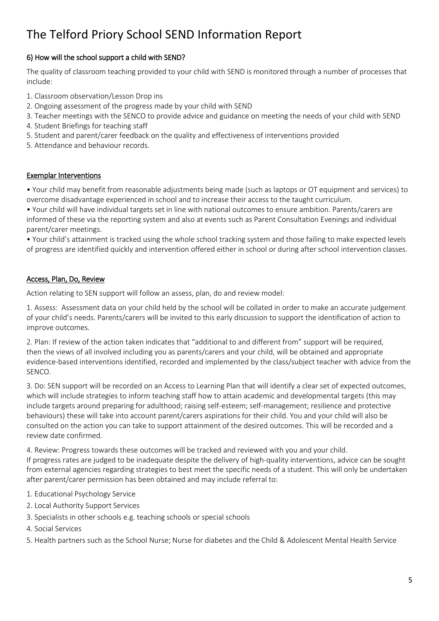#### 6) How will the school support a child with SEND?

The quality of classroom teaching provided to your child with SEND is monitored through a number of processes that include:

- 1. Classroom observation/Lesson Drop ins
- 2. Ongoing assessment of the progress made by your child with SEND
- 3. Teacher meetings with the SENCO to provide advice and guidance on meeting the needs of your child with SEND
- 4. Student Briefings for teaching staff
- 5. Student and parent/carer feedback on the quality and effectiveness of interventions provided
- 5. Attendance and behaviour records.

#### Exemplar Interventions

• Your child may benefit from reasonable adjustments being made (such as laptops or OT equipment and services) to overcome disadvantage experienced in school and to increase their access to the taught curriculum.

• Your child will have individual targets set in line with national outcomes to ensure ambition. Parents/carers are informed of these via the reporting system and also at events such as Parent Consultation Evenings and individual parent/carer meetings.

• Your child's attainment is tracked using the whole school tracking system and those failing to make expected levels of progress are identified quickly and intervention offered either in school or during after school intervention classes.

#### Access, Plan, Do, Review

Action relating to SEN support will follow an assess, plan, do and review model:

1. Assess: Assessment data on your child held by the school will be collated in order to make an accurate judgement of your child's needs. Parents/carers will be invited to this early discussion to support the identification of action to improve outcomes.

2. Plan: If review of the action taken indicates that "additional to and different from" support will be required, then the views of all involved including you as parents/carers and your child, will be obtained and appropriate evidence-based interventions identified, recorded and implemented by the class/subject teacher with advice from the SENCO.

3. Do: SEN support will be recorded on an Access to Learning Plan that will identify a clear set of expected outcomes, which will include strategies to inform teaching staff how to attain academic and developmental targets (this may include targets around preparing for adulthood; raising self-esteem; self-management; resilience and protective behaviours) these will take into account parent/carers aspirations for their child. You and your child will also be consulted on the action you can take to support attainment of the desired outcomes. This will be recorded and a review date confirmed.

4. Review: Progress towards these outcomes will be tracked and reviewed with you and your child.

If progress rates are judged to be inadequate despite the delivery of high-quality interventions, advice can be sought from external agencies regarding strategies to best meet the specific needs of a student. This will only be undertaken after parent/carer permission has been obtained and may include referral to:

- 1. Educational Psychology Service
- 2. Local Authority Support Services
- 3. Specialists in other schools e.g. teaching schools or special schools
- 4. Social Services
- 5. Health partners such as the School Nurse; Nurse for diabetes and the Child & Adolescent Mental Health Service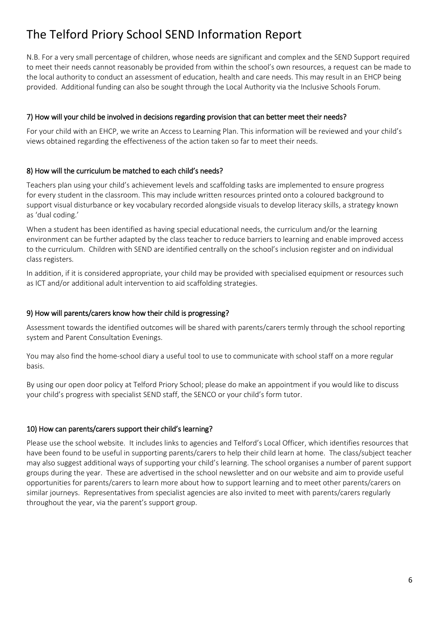N.B. For a very small percentage of children, whose needs are significant and complex and the SEND Support required to meet their needs cannot reasonably be provided from within the school's own resources, a request can be made to the local authority to conduct an assessment of education, health and care needs. This may result in an EHCP being provided. Additional funding can also be sought through the Local Authority via the Inclusive Schools Forum.

#### 7) How will your child be involved in decisions regarding provision that can better meet their needs?

For your child with an EHCP, we write an Access to Learning Plan. This information will be reviewed and your child's views obtained regarding the effectiveness of the action taken so far to meet their needs.

#### 8) How will the curriculum be matched to each child's needs?

Teachers plan using your child's achievement levels and scaffolding tasks are implemented to ensure progress for every student in the classroom. This may include written resources printed onto a coloured background to support visual disturbance or key vocabulary recorded alongside visuals to develop literacy skills, a strategy known as 'dual coding.'

When a student has been identified as having special educational needs, the curriculum and/or the learning environment can be further adapted by the class teacher to reduce barriers to learning and enable improved access to the curriculum. Children with SEND are identified centrally on the school's inclusion register and on individual class registers.

In addition, if it is considered appropriate, your child may be provided with specialised equipment or resources such as ICT and/or additional adult intervention to aid scaffolding strategies.

#### 9) How will parents/carers know how their child is progressing?

Assessment towards the identified outcomes will be shared with parents/carers termly through the school reporting system and Parent Consultation Evenings.

You may also find the home-school diary a useful tool to use to communicate with school staff on a more regular basis.

By using our open door policy at Telford Priory School; please do make an appointment if you would like to discuss your child's progress with specialist SEND staff, the SENCO or your child's form tutor.

#### 10) How can parents/carers support their child's learning?

Please use the school website. It includes links to agencies and Telford's Local Officer, which identifies resources that have been found to be useful in supporting parents/carers to help their child learn at home. The class/subject teacher may also suggest additional ways of supporting your child's learning. The school organises a number of parent support groups during the year. These are advertised in the school newsletter and on our website and aim to provide useful opportunities for parents/carers to learn more about how to support learning and to meet other parents/carers on similar journeys. Representatives from specialist agencies are also invited to meet with parents/carers regularly throughout the year, via the parent's support group.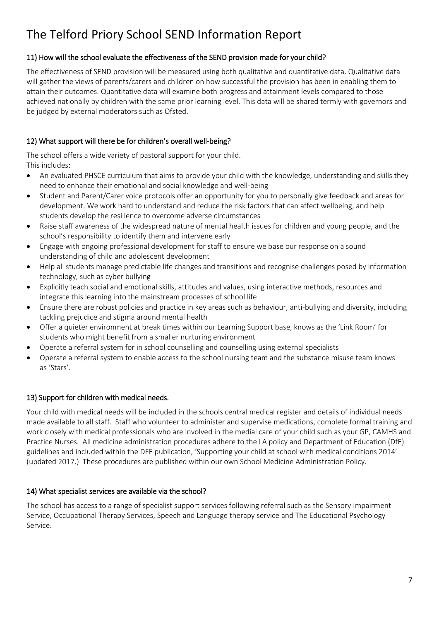#### 11) How will the school evaluate the effectiveness of the SEND provision made for your child?

The effectiveness of SEND provision will be measured using both qualitative and quantitative data. Qualitative data will gather the views of parents/carers and children on how successful the provision has been in enabling them to attain their outcomes. Quantitative data will examine both progress and attainment levels compared to those achieved nationally by children with the same prior learning level. This data will be shared termly with governors and be judged by external moderators such as Ofsted.

#### 12) What support will there be for children's overall well-being?

The school offers a wide variety of pastoral support for your child. This includes:

- An evaluated PHSCE curriculum that aims to provide your child with the knowledge, understanding and skills they need to enhance their emotional and social knowledge and well-being
- Student and Parent/Carer voice protocols offer an opportunity for you to personally give feedback and areas for development. We work hard to understand and reduce the risk factors that can affect wellbeing, and help students develop the resilience to overcome adverse circumstances
- Raise staff awareness of the widespread nature of mental health issues for children and young people, and the school's responsibility to identify them and intervene early
- Engage with ongoing professional development for staff to ensure we base our response on a sound understanding of child and adolescent development
- Help all students manage predictable life changes and transitions and recognise challenges posed by information technology, such as cyber bullying
- Explicitly teach social and emotional skills, attitudes and values, using interactive methods, resources and integrate this learning into the mainstream processes of school life
- Ensure there are robust policies and practice in key areas such as behaviour, anti-bullying and diversity, including tackling prejudice and stigma around mental health
- Offer a quieter environment at break times within our Learning Support base, knows as the 'Link Room' for students who might benefit from a smaller nurturing environment
- Operate a referral system for in school counselling and counselling using external specialists
- Operate a referral system to enable access to the school nursing team and the substance misuse team knows as 'Stars'.

#### 13) Support for children with medical needs.

Your child with medical needs will be included in the schools central medical register and details of individual needs made available to all staff. Staff who volunteer to administer and supervise medications, complete formal training and work closely with medical professionals who are involved in the medial care of your child such as your GP, CAMHS and Practice Nurses. All medicine administration procedures adhere to the LA policy and Department of Education (DfE) guidelines and included within the DFE publication, 'Supporting your child at school with medical conditions 2014' (updated 2017.) These procedures are published within our own School Medicine Administration Policy.

#### 14) What specialist services are available via the school?

The school has access to a range of specialist support services following referral such as the Sensory Impairment Service, Occupational Therapy Services, Speech and Language therapy service and The Educational Psychology Service.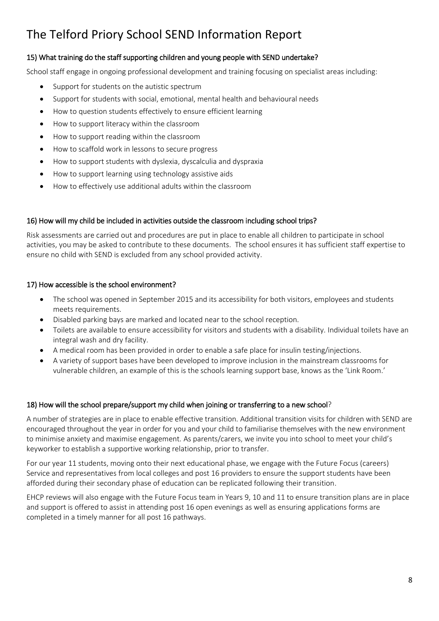#### 15) What training do the staff supporting children and young people with SEND undertake?

School staff engage in ongoing professional development and training focusing on specialist areas including:

- Support for students on the autistic spectrum
- Support for students with social, emotional, mental health and behavioural needs
- How to question students effectively to ensure efficient learning
- How to support literacy within the classroom
- How to support reading within the classroom
- How to scaffold work in lessons to secure progress
- How to support students with dyslexia, dyscalculia and dyspraxia
- How to support learning using technology assistive aids
- How to effectively use additional adults within the classroom

#### 16) How will my child be included in activities outside the classroom including school trips?

Risk assessments are carried out and procedures are put in place to enable all children to participate in school activities, you may be asked to contribute to these documents. The school ensures it has sufficient staff expertise to ensure no child with SEND is excluded from any school provided activity.

#### 17) How accessible is the school environment?

- The school was opened in September 2015 and its accessibility for both visitors, employees and students meets requirements.
- Disabled parking bays are marked and located near to the school reception.
- Toilets are available to ensure accessibility for visitors and students with a disability. Individual toilets have an integral wash and dry facility.
- A medical room has been provided in order to enable a safe place for insulin testing/injections.
- A variety of support bases have been developed to improve inclusion in the mainstream classrooms for vulnerable children, an example of this is the schools learning support base, knows as the 'Link Room.'

#### 18) How will the school prepare/support my child when joining or transferring to a new school?

A number of strategies are in place to enable effective transition. Additional transition visits for children with SEND are encouraged throughout the year in order for you and your child to familiarise themselves with the new environment to minimise anxiety and maximise engagement. As parents/carers, we invite you into school to meet your child's keyworker to establish a supportive working relationship, prior to transfer.

For our year 11 students, moving onto their next educational phase, we engage with the Future Focus (careers) Service and representatives from local colleges and post 16 providers to ensure the support students have been afforded during their secondary phase of education can be replicated following their transition.

EHCP reviews will also engage with the Future Focus team in Years 9, 10 and 11 to ensure transition plans are in place and support is offered to assist in attending post 16 open evenings as well as ensuring applications forms are completed in a timely manner for all post 16 pathways.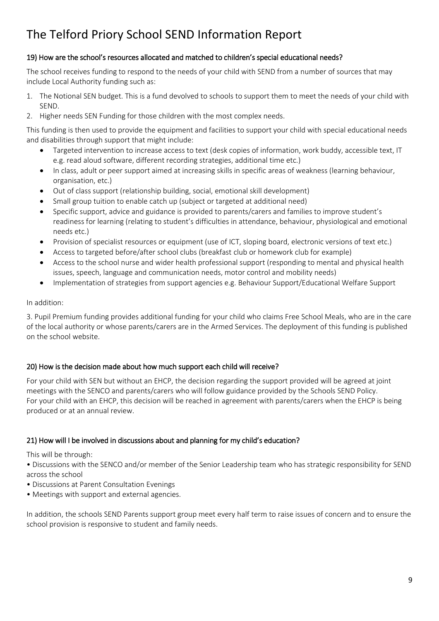#### 19) How are the school's resources allocated and matched to children's special educational needs?

The school receives funding to respond to the needs of your child with SEND from a number of sources that may include Local Authority funding such as:

- 1. The Notional SEN budget. This is a fund devolved to schools to support them to meet the needs of your child with SEND.
- 2. Higher needs SEN Funding for those children with the most complex needs.

This funding is then used to provide the equipment and facilities to support your child with special educational needs and disabilities through support that might include:

- Targeted intervention to increase access to text (desk copies of information, work buddy, accessible text, IT e.g. read aloud software, different recording strategies, additional time etc.)
- In class, adult or peer support aimed at increasing skills in specific areas of weakness (learning behaviour, organisation, etc.)
- Out of class support (relationship building, social, emotional skill development)
- Small group tuition to enable catch up (subject or targeted at additional need)
- Specific support, advice and guidance is provided to parents/carers and families to improve student's readiness for learning (relating to student's difficulties in attendance, behaviour, physiological and emotional needs etc.)
- Provision of specialist resources or equipment (use of ICT, sloping board, electronic versions of text etc.)
- Access to targeted before/after school clubs (breakfast club or homework club for example)
- Access to the school nurse and wider health professional support (responding to mental and physical health issues, speech, language and communication needs, motor control and mobility needs)
- Implementation of strategies from support agencies e.g. Behaviour Support/Educational Welfare Support

#### In addition:

3. Pupil Premium funding provides additional funding for your child who claims Free School Meals, who are in the care of the local authority or whose parents/carers are in the Armed Services. The deployment of this funding is published on the school website.

#### 20) How is the decision made about how much support each child will receive?

For your child with SEN but without an EHCP, the decision regarding the support provided will be agreed at joint meetings with the SENCO and parents/carers who will follow guidance provided by the Schools SEND Policy. For your child with an EHCP, this decision will be reached in agreement with parents/carers when the EHCP is being produced or at an annual review.

#### 21) How will I be involved in discussions about and planning for my child's education?

This will be through:

• Discussions with the SENCO and/or member of the Senior Leadership team who has strategic responsibility for SEND across the school

- Discussions at Parent Consultation Evenings
- Meetings with support and external agencies.

In addition, the schools SEND Parents support group meet every half term to raise issues of concern and to ensure the school provision is responsive to student and family needs.